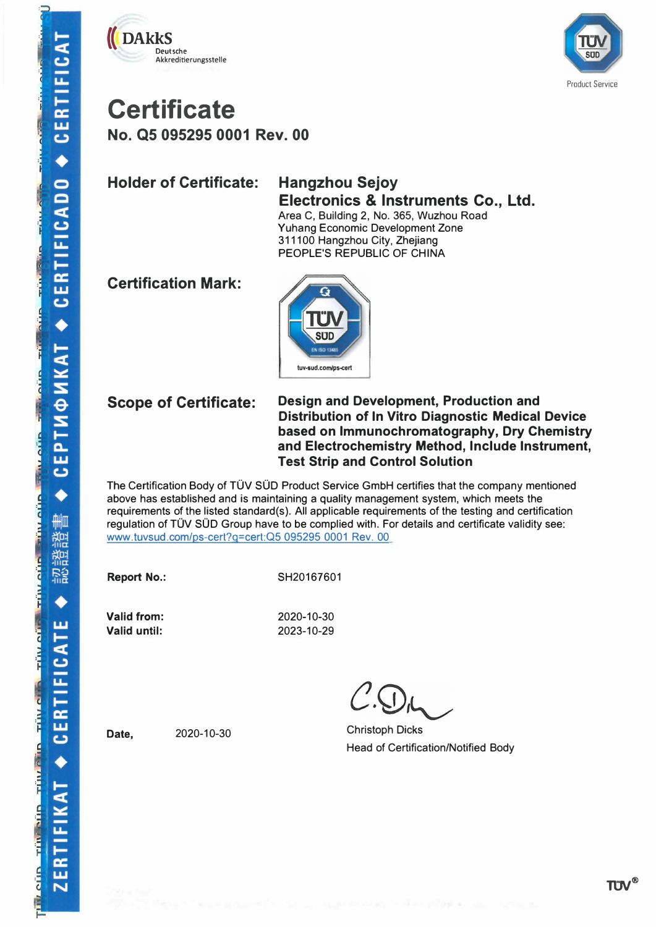



### **Certificate No. Q5 095295 0001 Rev. 00**

**Holder of Certificate: Hangzhou Sejoy** 

# **Electronics & Instruments Co., Ltd.**

Area C, Building 2, No. 365, Wuzhou Road Yuhang Economic Development Zone 311100 Hangzhou City, Zhejiang PEOPLE'S REPUBLIC OF CHINA

**Certification Mark:** 



#### **Scope of Certificate:**

#### **Design and Development, Production and Distribution of In Vitro Diagnostic Medical Device based on lmmunochromatography, Dry Chemistry and Electrochemistry Method, lnclude Instrument, Test Strip and Control Solution**

The Certification Body of TÜV SÜD Product Service GmbH certifies that the company mentioned above has established and is maintaining a quality management system, which meets the requirements of the listed standard(s). All applicable requirements of the testing and certification regulation of TÜV SÜD Group have to be complied with. For details and certificate validity see: www.tuvsud.com/ps-cert?g=cert:Q5 095295 0001 Rev. 00

**Report No.:** 

SH20167601

**Valid from: Valid until:** 

2020-10-30 2023-10-29

Christoph Dicks Head of Certification/Notified Body

**Date,** 2020-10-30

**TIN®**